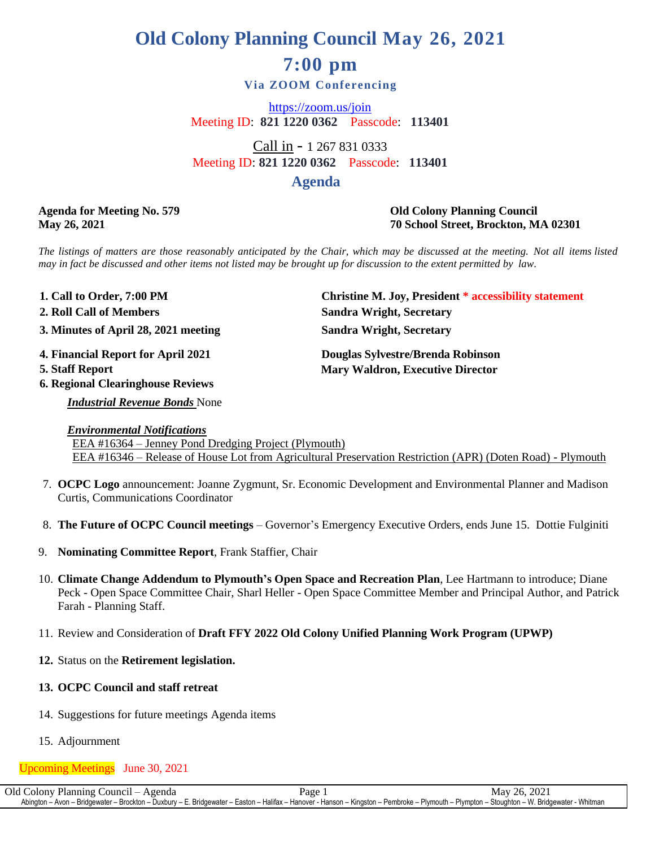# **Old Colony Planning Council May 26, 2021 7:00 pm**

## **Via ZOOM Conferencing**

<https://zoom.us/join> Meeting ID: **821 1220 0362** Passcode: **113401**

Call in - 1 267 831 0333 Meeting ID: **821 1220 0362** Passcode: **113401 Agenda**

## **Agenda for Meeting No. 579 Old Colony Planning Council May 26, 2021 70 School Street, Brockton, MA 02301**

The listings of matters are those reasonably anticipated by the Chair, which may be discussed at the meeting. Not all items listed may in fact be discussed and other items not listed may be brought up for discussion to the extent permitted by law.

1. Call to Order, 7:00 PM **. 2 1. Christine M. Joy, President \* accessibility statement . 3 3. Minutes of April 28, 2021 meeting Sandra Wright, Secretary 2. Roll Call of Members Sandra Wright, Secretary 4 4. Financial Report for April 2021 Douglas Sylvestre/Brenda Robinson . Mary Waldron, Executive Director 6. Regional Clearinghouse Reviews**

*Industrial Revenue Bonds* None

*Environmental Notifications* EEA #16364 – Jenney Pond Dredging Project (Plymouth) EEA #16346 – Release of House Lot from Agricultural Preservation Restriction (APR) (Doten Road) - Plymouth

- 7. **OCPC Logo** announcement: Joanne Zygmunt, Sr. Economic Development and Environmental Planner and Madison Curtis, Communications Coordinator
- 8. **The Future of OCPC Council meetings** Governor's Emergency Executive Orders, ends June 15. Dottie Fulginiti
- 9. **Nominating Committee Report**, Frank Staffier, Chair
- 10. **Climate Change Addendum to Plymouth's Open Space and Recreation Plan**, Lee Hartmann to introduce; Diane Peck - Open Space Committee Chair, Sharl Heller - Open Space Committee Member and Principal Author, and Patrick Farah - Planning Staff.
- 11. Review and Consideration of **Draft FFY 2022 Old Colony Unified Planning Work Program (UPWP)**
- **12.** Status on the **Retirement legislation.**
- **13. OCPC Council and staff retreat**
- 14. Suggestions for future meetings Agenda items
- 15. Adjournment

## Upcoming Meetings June 30, 2021

Old Colony Planning Council – Agenda Page 1 May 26, 2021 Abington – Avon – Bridgewater – Brockton – Duxbury – E. Bridgewater – Easton – Halifax – Hanover - Hanson – Kingston – Pembroke – Plymouth – Plympton – Stoughton – W. Bridgewater - Whitman